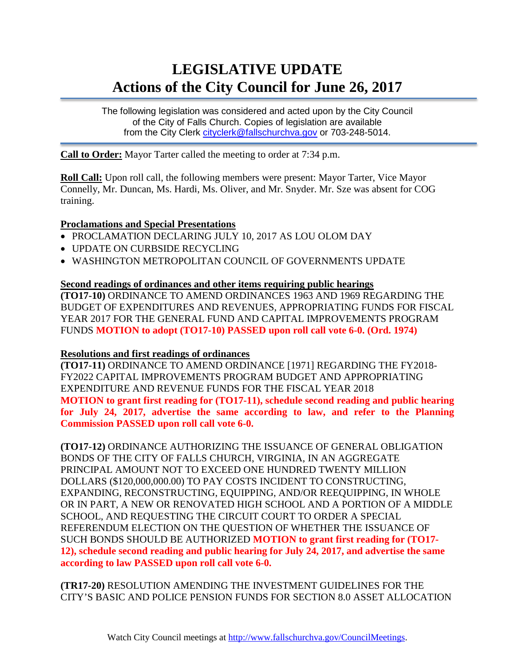# **LEGISLATIVE UPDATE Actions of the City Council for June 26, 2017**

The following legislation was considered and acted upon by the City Council of the City of Falls Church. Copies of legislation are available from the City Clerk cityclerk@fallschurchya.gov or 703-248-5014.

**Call to Order:** Mayor Tarter called the meeting to order at 7:34 p.m.

**Roll Call:** Upon roll call, the following members were present: Mayor Tarter, Vice Mayor Connelly, Mr. Duncan, Ms. Hardi, Ms. Oliver, and Mr. Snyder. Mr. Sze was absent for COG training.

## **Proclamations and Special Presentations**

- PROCLAMATION DECLARING JULY 10, 2017 AS LOU OLOM DAY
- UPDATE ON CURBSIDE RECYCLING
- WASHINGTON METROPOLITAN COUNCIL OF GOVERNMENTS UPDATE

### **Second readings of ordinances and other items requiring public hearings**

**(TO17-10)** ORDINANCE TO AMEND ORDINANCES 1963 AND 1969 REGARDING THE BUDGET OF EXPENDITURES AND REVENUES, APPROPRIATING FUNDS FOR FISCAL YEAR 2017 FOR THE GENERAL FUND AND CAPITAL IMPROVEMENTS PROGRAM FUNDS **MOTION to adopt (TO17-10) PASSED upon roll call vote 6-0. (Ord. 1974)**

## **Resolutions and first readings of ordinances**

**(TO17-11)** ORDINANCE TO AMEND ORDINANCE [1971] REGARDING THE FY2018- FY2022 CAPITAL IMPROVEMENTS PROGRAM BUDGET AND APPROPRIATING EXPENDITURE AND REVENUE FUNDS FOR THE FISCAL YEAR 2018 **MOTION to grant first reading for (TO17-11), schedule second reading and public hearing for July 24, 2017, advertise the same according to law, and refer to the Planning Commission PASSED upon roll call vote 6-0.**

**(TO17-12)** ORDINANCE AUTHORIZING THE ISSUANCE OF GENERAL OBLIGATION BONDS OF THE CITY OF FALLS CHURCH, VIRGINIA, IN AN AGGREGATE PRINCIPAL AMOUNT NOT TO EXCEED ONE HUNDRED TWENTY MILLION DOLLARS (\$120,000,000.00) TO PAY COSTS INCIDENT TO CONSTRUCTING, EXPANDING, RECONSTRUCTING, EQUIPPING, AND/OR REEQUIPPING, IN WHOLE OR IN PART, A NEW OR RENOVATED HIGH SCHOOL AND A PORTION OF A MIDDLE SCHOOL, AND REQUESTING THE CIRCUIT COURT TO ORDER A SPECIAL REFERENDUM ELECTION ON THE QUESTION OF WHETHER THE ISSUANCE OF SUCH BONDS SHOULD BE AUTHORIZED **MOTION to grant first reading for (TO17- 12), schedule second reading and public hearing for July 24, 2017, and advertise the same according to law PASSED upon roll call vote 6-0.**

**(TR17-20)** RESOLUTION AMENDING THE INVESTMENT GUIDELINES FOR THE CITY'S BASIC AND POLICE PENSION FUNDS FOR SECTION 8.0 ASSET ALLOCATION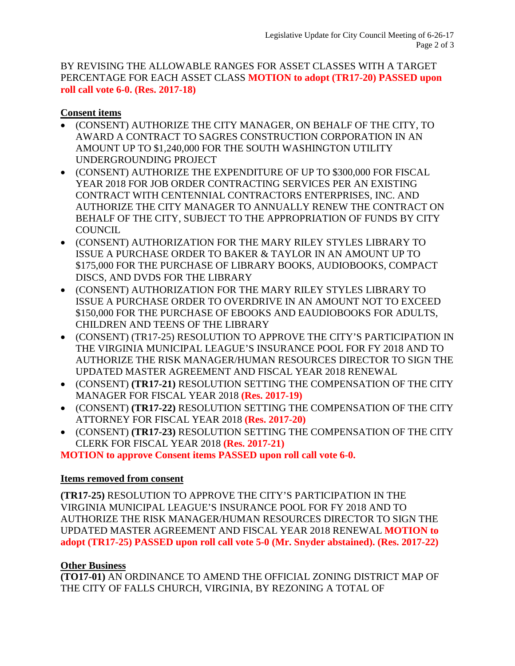BY REVISING THE ALLOWABLE RANGES FOR ASSET CLASSES WITH A TARGET PERCENTAGE FOR EACH ASSET CLASS **MOTION to adopt (TR17-20) PASSED upon roll call vote 6-0. (Res. 2017-18)**

## **Consent items**

- (CONSENT) AUTHORIZE THE CITY MANAGER, ON BEHALF OF THE CITY, TO AWARD A CONTRACT TO SAGRES CONSTRUCTION CORPORATION IN AN AMOUNT UP TO \$1,240,000 FOR THE SOUTH WASHINGTON UTILITY UNDERGROUNDING PROJECT
- (CONSENT) AUTHORIZE THE EXPENDITURE OF UP TO \$300,000 FOR FISCAL YEAR 2018 FOR JOB ORDER CONTRACTING SERVICES PER AN EXISTING CONTRACT WITH CENTENNIAL CONTRACTORS ENTERPRISES, INC. AND AUTHORIZE THE CITY MANAGER TO ANNUALLY RENEW THE CONTRACT ON BEHALF OF THE CITY, SUBJECT TO THE APPROPRIATION OF FUNDS BY CITY **COUNCIL**
- (CONSENT) AUTHORIZATION FOR THE MARY RILEY STYLES LIBRARY TO ISSUE A PURCHASE ORDER TO BAKER & TAYLOR IN AN AMOUNT UP TO \$175,000 FOR THE PURCHASE OF LIBRARY BOOKS, AUDIOBOOKS, COMPACT DISCS, AND DVDS FOR THE LIBRARY
- (CONSENT) AUTHORIZATION FOR THE MARY RILEY STYLES LIBRARY TO ISSUE A PURCHASE ORDER TO OVERDRIVE IN AN AMOUNT NOT TO EXCEED \$150,000 FOR THE PURCHASE OF EBOOKS AND EAUDIOBOOKS FOR ADULTS, CHILDREN AND TEENS OF THE LIBRARY
- (CONSENT) (TR17-25) RESOLUTION TO APPROVE THE CITY'S PARTICIPATION IN THE VIRGINIA MUNICIPAL LEAGUE'S INSURANCE POOL FOR FY 2018 AND TO AUTHORIZE THE RISK MANAGER/HUMAN RESOURCES DIRECTOR TO SIGN THE UPDATED MASTER AGREEMENT AND FISCAL YEAR 2018 RENEWAL
- (CONSENT) **(TR17-21)** RESOLUTION SETTING THE COMPENSATION OF THE CITY MANAGER FOR FISCAL YEAR 2018 **(Res. 2017-19)**
- (CONSENT) **(TR17-22)** RESOLUTION SETTING THE COMPENSATION OF THE CITY ATTORNEY FOR FISCAL YEAR 2018 **(Res. 2017-20)**
- (CONSENT) **(TR17-23)** RESOLUTION SETTING THE COMPENSATION OF THE CITY CLERK FOR FISCAL YEAR 2018 **(Res. 2017-21)**

**MOTION to approve Consent items PASSED upon roll call vote 6-0.**

# **Items removed from consent**

**(TR17-25)** RESOLUTION TO APPROVE THE CITY'S PARTICIPATION IN THE VIRGINIA MUNICIPAL LEAGUE'S INSURANCE POOL FOR FY 2018 AND TO AUTHORIZE THE RISK MANAGER/HUMAN RESOURCES DIRECTOR TO SIGN THE UPDATED MASTER AGREEMENT AND FISCAL YEAR 2018 RENEWAL **MOTION to adopt (TR17-25) PASSED upon roll call vote 5-0 (Mr. Snyder abstained). (Res. 2017-22)**

# **Other Business**

**(TO17-01)** AN ORDINANCE TO AMEND THE OFFICIAL ZONING DISTRICT MAP OF THE CITY OF FALLS CHURCH, VIRGINIA, BY REZONING A TOTAL OF